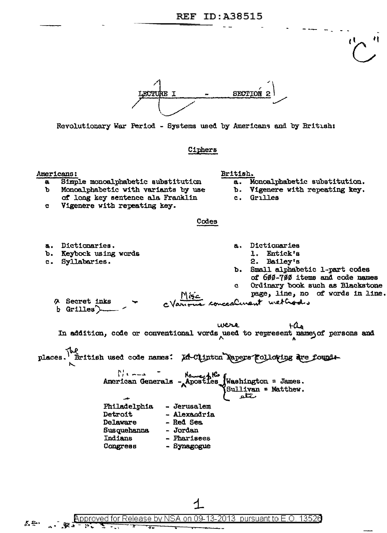## **REF ID:A38515**



Revolutionary War Period - Systems used by Americans and by British:

#### Ciphers

Americans:

X, Q.,

a. Dictionaries.

c. Syllabaries.

b. Keybock using words

- Simple monoalphabetic substitution a.
- Monoalphabetic with variants by use ъ
- of long key sentence ala Franklin
- British.
	- $\overline{a}$ . Monoalphabetic substitution.
	- b. Vigenere with repeating key.
	- c. Grilles

Vigenere with repeating key. c

# Codes

- Dictionaries a.
	- 1. Entick's
	- 2. Bailey's
- Small alphabetic 1-part codes b. of 600-700 items and code names
- Ordinary book such as Blackstone  $\mathbf{c}$ 
	- page, line, no of words in line.

A Secret inks ccalinant wethod.  $b$  Grilles)

were  $FLB$ In addition, code or conventional words used to represent name of persons and British used code names: La-Clinton Rapers Following are founds places. American Generals - Apostles Washington = James. Sullivan = Matthew. متتلفه Philadelphia - Jerusalem

**Detroit** - Alexandria Delaware - Red Sea **Susquehanna** - Jordan - Pharisees Indians Congress - Synagogue

pproved for Release by NSA on pursuant to E.C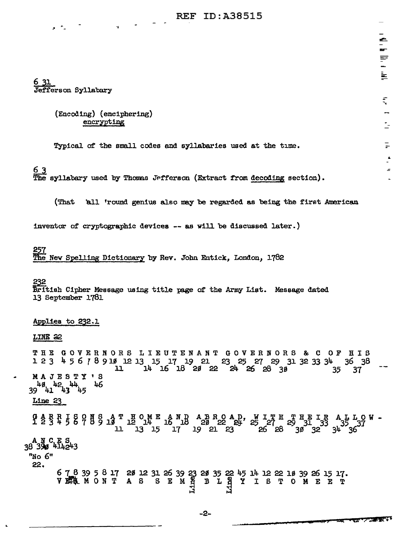# **REF ID: A38515**

6 31 Jefferson Syllabary

> (Encoding) (enciphering) encrypting

Typical of the small codes and syllabaries used at the time.

# 63

The syllabary used by Thomas Jefferson (Extract from decoding section).

(That 'all 'round genius also may be regarded as being the first American

inventor of cryptographic devices -- as will be discussed later.)

257 The New Spelling Dictionary by Rev. John Entick, London, 1782

#### 232

British Cipher Message using title page of the Army List. Message dated 13 September 1781

#### Applies to 232.1

#### LINE 22

THE GOVERNORS LIEUTENANT GOVERNORS & C OF HIS 1 2 3 4 5 6 7 8 9 10 12 13 15 17 19 21 23 25 27 29 31 32 33 34 36 38  $14$   $16$   $18$   $29$   $22$   $24$   $26$   $28$   $39$  $\mathbf{L}$ 35 37 MAJESTY'S  $39^{4.8}$   $4.2^{4.4}$   $4.3^{4.4}$   $4.5^{4.4}$ 46  $Line<sub>23</sub>$ 

 $A_{35}$  L O W<br>3<sup>4</sup> 36

A N C E S<br>38 390 414243

# "No 6"

22.

678395817281231263923283522451412221839261517.<br>VELMONTAS SEMH BLAYISTOMEET

-2-

合: hi lin lin

È

 $\tilde{\tau}$ 

 $\mathbb{R}^2$ 

 $\overline{P}$ 

 $\Delta$ 

 $\mathbf{r}$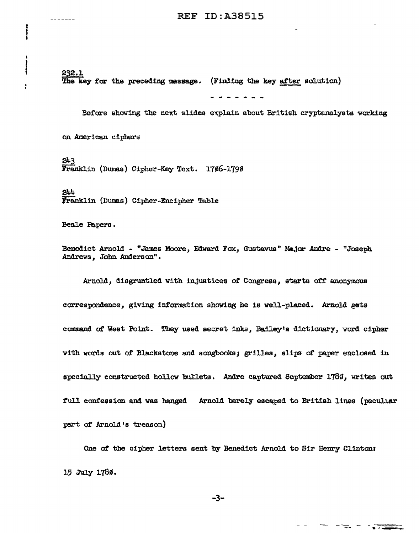' 232.l. The key for the preceding message. (Finding the key after solution)

Before showing the next slides explain ebout British cryptanalysts working

on American ciphers

' I

ţ

-----

 $- - - - - -$ 

243<br>Franklin (Dumas) Cipher-Key Text. 1766-1790

244 Franklin (Dumas) Cipher-Encipher Table

Beale Papers.

Benedict Arnold - "James Moore, Edward Fox, Gustavus" Major Andre - "Joseph Andrews, John Anderson".

Arnold, disgruntled with injustices of Congress, starts off anonymous correspondence, giving information showing he 1B well-placed. Arnold gets command of West Point. They used secret inks, Bailey's dictionary, word cipher with words out of Blackstone and songbooks; grilles, slips of paper enclosed in specially constructed hollow bullets. Andre captured September 1780, writes out full confession and was hanged Arnold barely escaped to British lines (peculiar part of Arnold's treason)

One of the cipher letters sent by Benedict Arnold to Sir Henry Clinton: 15 July 1780.

-3-

 $\frac{1}{2}$  ,  $\frac{1}{2}$  ,  $\frac{1}{2}$  ,  $\frac{1}{2}$  ,  $\frac{1}{2}$  ,  $\frac{1}{2}$  ,  $\frac{1}{2}$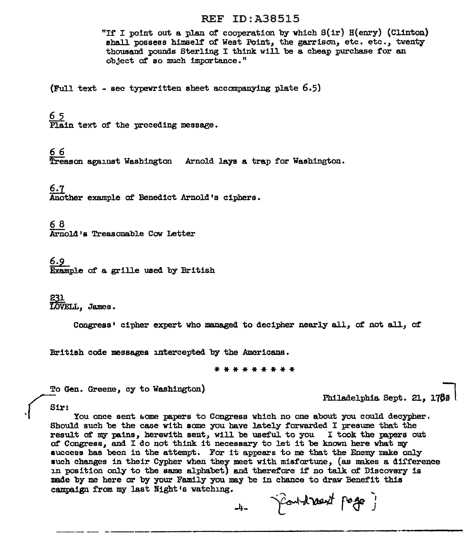#### REF ID:A38515

"If I point out a plan of cooperation by which  $S(ir) H(enry)$  (Clinton) shall possess himself of West Point, the garrison, etc. etc., twenty thousand pounds Sterling I think will be a cheap purchase *tor* an object af so much importance. <sup>11</sup>

(Full text - sec typewritten sheet accompanying plate  $6.5$ )

6 5

'Plain text of the preceding message.

66

Treason against Washington Arnold lays a trap for Washington.

6.7<br>Another example of Benedict Arnold's ciphers.

6 8 Arnold's Treasonable Cow Letter

§.:2\_ Example of a grille used by British

231<br>LOVELL, James.

Congress<sup>:</sup> cipher expert who managed to decipher nearly all, of not all. of

British code messages intercepted by the Americans.

\*\*\*\*\*\*\*\*\*

To Gen. Greene, cy to Washington)<br>
Thiladelphia Sept. 21, 1760

Sir:

Philadelphia. Sept. 21, 1780 |<br>Sir:<br>You once sent some papers to Congress which no one about you could decypher. Bbou1d such be the case with same you have lately forwarded I presume that the result of my pains, herewith sent, will be useful to you  $I$  took the papers out af Congress, and I do not think it necessary to let it be known here what my success has been in the attempt. For it appears to me that the Enemy make only such changes in their Cypher when they meet with misfortune, (as makes a difference in position only to the same alphabet) and therefore if no talk of Discovery is made by me here or by your Family you may be in chance to draw Benefit this campaign from my last Night 's watching •

.. 4- ----- ----------------------------·------